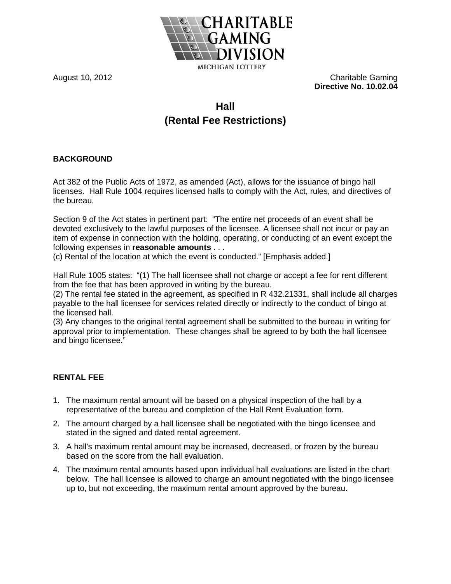

August 10, 2012 Charitable Gaming **Directive No. 10.02.04**

## **Hall (Rental Fee Restrictions)**

## **BACKGROUND**

Act 382 of the Public Acts of 1972, as amended (Act), allows for the issuance of bingo hall licenses. Hall Rule 1004 requires licensed halls to comply with the Act, rules, and directives of the bureau.

Section 9 of the Act states in pertinent part: "The entire net proceeds of an event shall be devoted exclusively to the lawful purposes of the licensee. A licensee shall not incur or pay an item of expense in connection with the holding, operating, or conducting of an event except the following expenses in **reasonable amounts** . . .

(c) Rental of the location at which the event is conducted." [Emphasis added.]

Hall Rule 1005 states: "(1) The hall licensee shall not charge or accept a fee for rent different from the fee that has been approved in writing by the bureau.

(2) The rental fee stated in the agreement, as specified in R 432.21331, shall include all charges payable to the hall licensee for services related directly or indirectly to the conduct of bingo at the licensed hall.

(3) Any changes to the original rental agreement shall be submitted to the bureau in writing for approval prior to implementation. These changes shall be agreed to by both the hall licensee and bingo licensee."

## **RENTAL FEE**

- 1. The maximum rental amount will be based on a physical inspection of the hall by a representative of the bureau and completion of the Hall Rent Evaluation form.
- 2. The amount charged by a hall licensee shall be negotiated with the bingo licensee and stated in the signed and dated rental agreement.
- 3. A hall's maximum rental amount may be increased, decreased, or frozen by the bureau based on the score from the hall evaluation.
- 4. The maximum rental amounts based upon individual hall evaluations are listed in the chart below. The hall licensee is allowed to charge an amount negotiated with the bingo licensee up to, but not exceeding, the maximum rental amount approved by the bureau.